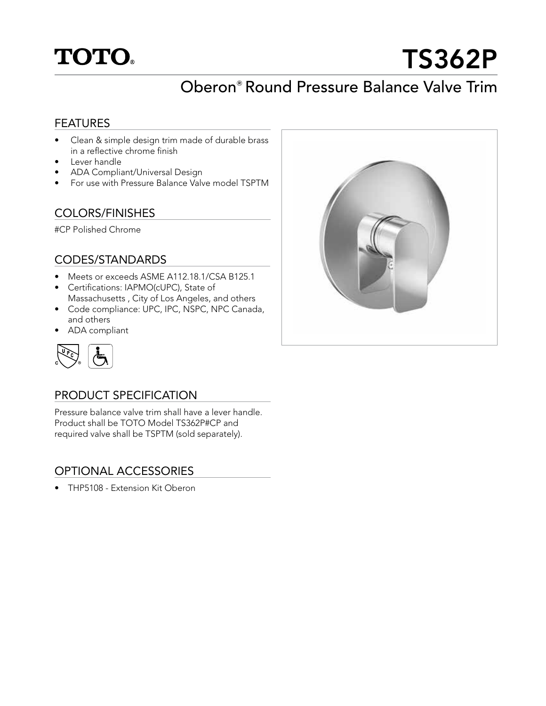

# TS362P

# Oberon**®** Round Pressure Balance Valve Trim

## **FEATURES**

- Clean & simple design trim made of durable brass in a reflective chrome finish
- Lever handle
- ADA Compliant/Universal Design
- For use with Pressure Balance Valve model TSPTM

## COLORS/FINISHES

#CP Polished Chrome

#### CODES/STANDARDS

- Meets or exceeds ASME A112.18.1/CSA B125.1
- Certifications: IAPMO(cUPC), State of Massachusetts , City of Los Angeles, and others
- Code compliance: UPC, IPC, NSPC, NPC Canada, and others
- ADA compliant



# PRODUCT SPECIFICATION

Pressure balance valve trim shall have a lever handle. Product shall be TOTO Model TS362P#CP and required valve shall be TSPTM (sold separately).

# OPTIONAL ACCESSORIES

• THP5108 - Extension Kit Oberon